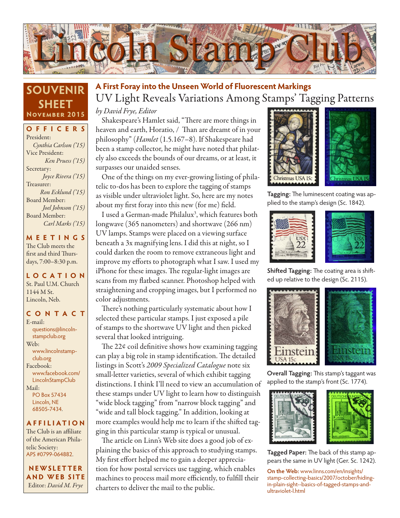

### **SOUVENIR SHEET November 2015**

**OFFICERS** President: *Cynthia Carlson ('15)* Vice President: *Ken Pruess ('15)* Secretary: *Joyce Rivera ('15)* Treasurer: *Ron Ecklund ('15)* Board Member: *Joel Johnson ('15)* Board Member: *Carl Marks ('15)*

**MEETINGS** The Club meets the first and third Thursdays, 7:00–8:30 p.m.

**LO C ATI O N** St. Paul U.M. Church 1144 M St. Lincoln, Neb.

#### **CONTACT**

E-mail: questions@lincolnstampclub.org Web: www.lincolnstampclub.org Facebook: www.facebook.com/ LincolnStampClub Mail: PO Box 57434 Lincoln, NE 68505-7434.

#### **AFFI LIATI O N**

The Club is an affiliate of the American Philatelic Society: APS #0799-064882.

**NEWSLETTER AND WEB SITE** Editor: *David M. Frye*

## UV Light Reveals Variations Among Stamps' Tagging Patterns **A First Foray into the Unseen World of Fluorescent Markings**

*by David Frye, Editor*

Shakespeare's Hamlet said, "There are more things in heaven and earth, Horatio, / Than are dreamt of in your philosophy" (*Hamlet* (1.5.167–8). If Shakespeare had been a stamp collector, he might have noted that philately also exceeds the bounds of our dreams, or at least, it surpasses our unaided senses.

One of the things on my ever-growing listing of philatelic to-dos has been to explore the tagging of stamps as visible under ultraviolet light. So, here are my notes about my first foray into this new (for me) field.

I used a German-made Philalux<sup>3</sup>, which features both longwave (365 nanometers) and shortwave (266 nm) UV lamps. Stamps were placed on a viewing surface beneath a 3x magnifying lens. I did this at night, so I could darken the room to remove extraneous light and improve my efforts to photograph what I saw. I used my iPhone for these images. The regular-light images are scans from my flatbed scanner. Photoshop helped with straightening and cropping images, but I performed no color adjustments.

There's nothing particularly systematic about how I selected these particular stamps. I just exposed a pile of stamps to the shortwave UV light and then picked several that looked intriguing.

The 22¢ coil definitive shows how examining tagging can play a big role in stamp identification. The detailed listings in Scott's *2009 Specialized Catalogue* note six small-letter varieties, several of which exhibit tagging distinctions. I think I'll need to view an accumulation of these stamps under UV light to learn how to distinguish "wide block tagging" from "narrow block tagging" and "wide and tall block tagging." In addition, looking at more examples would help me to learn if the shifted tagging in this particular stamp is typical or unusual.

The article on Linn's Web site does a good job of explaining the basics of this approach to studying stamps. My first effort helped me to gain a deeper appreciation for how postal services use tagging, which enables machines to process mail more efficiently, to fulfill their charters to deliver the mail to the public.



**Tagging:** The luminescent coating was applied to the stamp's design (Sc. 1842).



**Shifted Tagging:** The coating area is shifted up relative to the design (Sc. 2115).



**Overall Tagging:** This stamp's taggant was applied to the stamp's front (Sc. 1774).



**Tagged Paper:** The back of this stamp appears the same in UV light (Ger. Sc. 1242).

**On the Web:** www.linns.com/en/insights/ stamp-collecting-basics/2007/october/hidingin-plain-sight--basics-of-tagged-stamps-andultraviolet-l.html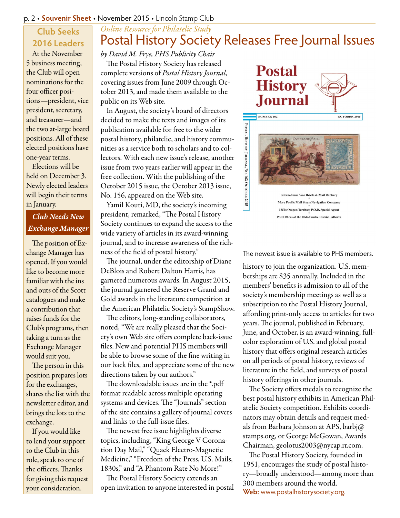#### p. 2 • **Souvenir Sheet** • November 2015 • Lincoln Stamp Club

### **Club Seeks 2016 Leaders**

At the November 5 business meeting, the Club will open nominations for the four officer positions—president, vice president, secretary, and treasurer—and the two at-large board positions. All of these elected positions have one-year terms.

Elections will be held on December 3. Newly elected leaders will begin their terms in January.

### *Club Needs New Exchange Manager*

The position of Exchange Manager has opened. If you would like to become more familiar with the ins and outs of the Scott catalogues and make a contribution that raises funds for the Club's programs, then taking a turn as the Exchange Manager would suit you.

The person in this position prepares lots for the exchanges, shares the list with the newsletter editor, and brings the lots to the exchange.

If you would like to lend your support to the Club in this role, speak to one of the officers. Thanks for giving this request your consideration.

### Postal History Society Releases Free Journal Issues *Online Resource for Philatelic Study*

*by David M. Frye, PHS Publicity Chair* The Postal History Society has released complete versions of *Postal History Journal*, covering issues from June 2009 through October 2013, and made them available to the public on its Web site.

In August, the society's board of directors decided to make the texts and images of its publication available for free to the wider postal history, philatelic, and history communities as a service both to scholars and to collectors. With each new issue's release, another issue from two years earlier will appear in the free collection. With the publishing of the October 2015 issue, the October 2013 issue, No. 156, appeared on the Web site.

Yamil Kouri, MD, the society's incoming president, remarked, "The Postal History Society continues to expand the access to the wide variety of articles in its award-winning journal, and to increase awareness of the richness of the field of postal history."

The journal, under the editorship of Diane DeBlois and Robert Dalton Harris, has garnered numerous awards. In August 2015, the journal garnered the Reserve Grand and Gold awards in the literature competition at the American Philatelic Society's StampShow.

The editors, long-standing collaborators, noted, "We are really pleased that the Society's own Web site offers complete back-issue files. New and potential PHS members will be able to browse some of the fine writing in our back files, and appreciate some of the new directions taken by our authors."

The downloadable issues are in the \*.pdf format readable across multiple operating systems and devices. The "Journals" section of the site contains a gallery of journal covers and links to the full-issue files.

The newest free issue highlights diverse topics, including, "King George V Coronation Day Mail," "Quack Electro-Magnetic Medicine," "Freedom of the Press, U.S. Mails, 1830s," and "A Phantom Rate No More!"

The Postal History Society extends an open invitation to anyone interested in postal



The newest issue is available to PHS members.

history to join the organization. U.S. memberships are \$35 annually. Included in the members' benefits is admission to all of the society's membership meetings as well as a subscription to the Postal History Journal, affording print-only access to articles for two years. The journal, published in February, June, and October, is an award-winning, fullcolor exploration of U.S. and global postal history that offers original research articles on all periods of postal history, reviews of literature in the field, and surveys of postal history offerings in other journals.

The Society offers medals to recognize the best postal history exhibits in American Philatelic Society competition. Exhibits coordinators may obtain details and request medals from Barbara Johnson at APS, barbj@ stamps.org, or George McGowan, Awards Chairman, geolotus2003@nycap.rr.com.

The Postal History Society, founded in 1951, encourages the study of postal history—broadly understood—among more than 300 members around the world. **Web:** www.postalhistorysociety.org.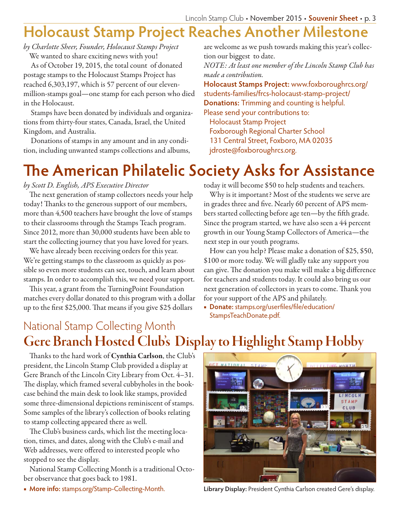# **Holocaust Stamp Project Reaches Another Milestone**

*by Charlotte Sheer, Founder, Holocaust Stamps Project* We wanted to share exciting news with you!

 As of October 19, 2015, the total count of donated postage stamps to the Holocaust Stamps Project has reached 6,303,197, which is 57 percent of our elevenmillion-stamps goal—one stamp for each person who died in the Holocaust.

 Stamps have been donated by individuals and organizations from thirty-four states, Canada, Israel, the United Kingdom, and Australia.

 Donations of stamps in any amount and in any condition, including unwanted stamps collections and albums, are welcome as we push towards making this year's collection our biggest to date.

*NOTE: At least one member of the Lincoln Stamp Club has made a contribution.*

**Holocaust Stamps Project:** www.foxboroughrcs.org/ students-families/frcs-holocaust-stamp-project/ **Donations:** Trimming and counting is helpful. Please send your contributions to:

Holocaust Stamp Project Foxborough Regional Charter School 131 Central Street, Foxboro, MA 02035 jdroste@foxboroughrcs.org.

# **The American Philatelic Society Asks for Assistance**

#### *by Scott D. English, APS Executive Director*

The next generation of stamp collectors needs your help today! Thanks to the generous support of our members, more than 4,500 teachers have brought the love of stamps to their classrooms through the Stamps Teach program. Since 2012, more than 30,000 students have been able to start the collecting journey that you have loved for years.

We have already been receiving orders for this year. We're getting stamps to the classroom as quickly as possible so even more students can see, touch, and learn about stamps. In order to accomplish this, we need your support.

This year, a grant from the TurningPoint Foundation matches every dollar donated to this program with a dollar up to the first \$25,000. That means if you give \$25 dollars

today it will become \$50 to help students and teachers.

Why is it important? Most of the students we serve are in grades three and five. Nearly 60 percent of APS members started collecting before age ten—by the fifth grade. Since the program started, we have also seen a 44 percent growth in our Young Stamp Collectors of America—the next step in our youth programs.

How can you help? Please make a donation of \$25, \$50, \$100 or more today. We will gladly take any support you can give. The donation you make will make a big difference for teachers and students today. It could also bring us our next generation of collectors in years to come. Thank you for your support of the APS and philately.

■ **Donate:** stamps.org/userfiles/file/education/ StampsTeachDonate.pdf.

## National Stamp Collecting Month Gere Branch Hosted Club's Display to Highlight Stamp Hobby

Thanks to the hard work of Cynthia Carlson, the Club's president, the Lincoln Stamp Club provided a display at Gere Branch of the Lincoln City Library from Oct. 4–31. The display, which framed several cubbyholes in the bookcase behind the main desk to look like stamps, provided some three-dimensional depictions reminiscent of stamps. Some samples of the library's collection of books relating to stamp collecting appeared there as well.

The Club's business cards, which list the meeting location, times, and dates, along with the Club's e-mail and Web addresses, were offered to interested people who stopped to see the display.

National Stamp Collecting Month is a traditional October observance that goes back to 1981.



■ **More info:** stamps.org/Stamp-Collecting-Month. **Library Display:** President Cynthia Carlson created Gere's display.